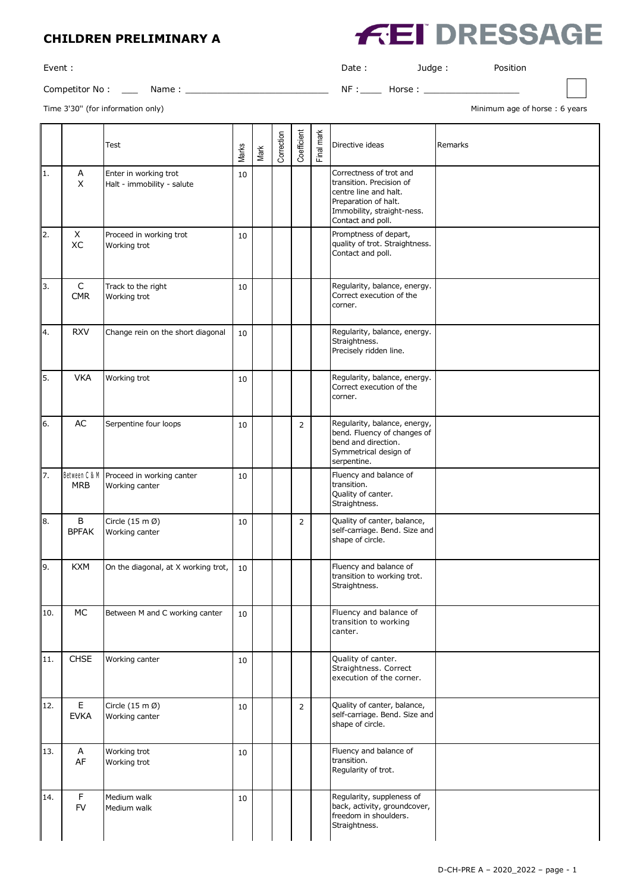## **CHILDREN PRELIMINARY A**

Competitor No : \_\_\_ Name : \_\_\_\_\_\_\_\_\_\_\_\_\_\_\_\_\_\_\_\_\_\_\_\_\_\_\_ NF :\_\_\_\_ Horse : \_\_\_\_\_\_\_\_\_\_\_\_\_\_\_\_\_\_

Event : Date : Judge : Position

**EI DRESSAGE** 

Time 3'30" (for information only) and the state of the state of the state of the state of the state of the state of the state of the state of the state of the state of the state of the state of the state of the state of th

|     |                             | Test                                                  | Marks | Mark | Correction | Coefficient    | Final mark | Directive ideas                                                                                                                                         | Remarks |
|-----|-----------------------------|-------------------------------------------------------|-------|------|------------|----------------|------------|---------------------------------------------------------------------------------------------------------------------------------------------------------|---------|
| 1.  | Α<br>X                      | Enter in working trot<br>Halt - immobility - salute   | 10    |      |            |                |            | Correctness of trot and<br>transition. Precision of<br>centre line and halt.<br>Preparation of halt.<br>Immobility, straight-ness.<br>Contact and poll. |         |
| 2.  | X<br>XC                     | Proceed in working trot<br>Working trot               | 10    |      |            |                |            | Promptness of depart,<br>quality of trot. Straightness.<br>Contact and poll.                                                                            |         |
| 3.  | C<br><b>CMR</b>             | Track to the right<br>Working trot                    | 10    |      |            |                |            | Regularity, balance, energy.<br>Correct execution of the<br>corner.                                                                                     |         |
| 4.  | <b>RXV</b>                  | Change rein on the short diagonal                     | 10    |      |            |                |            | Regularity, balance, energy.<br>Straightness.<br>Precisely ridden line.                                                                                 |         |
| l5. | <b>VKA</b>                  | Working trot                                          | 10    |      |            |                |            | Regularity, balance, energy.<br>Correct execution of the<br>corner.                                                                                     |         |
| 6.  | AC                          | Serpentine four loops                                 | 10    |      |            | $\overline{2}$ |            | Regularity, balance, energy,<br>bend. Fluency of changes of<br>bend and direction.<br>Symmetrical design of<br>serpentine.                              |         |
| 17. | Between C & M<br><b>MRB</b> | Proceed in working canter<br>Working canter           | 10    |      |            |                |            | Fluency and balance of<br>transition.<br>Quality of canter.<br>Straightness.                                                                            |         |
| 8.  | B<br><b>BPFAK</b>           | Circle $(15 \text{ m }\varnothing)$<br>Working canter | 10    |      |            | $\overline{2}$ |            | Quality of canter, balance,<br>self-carriage. Bend. Size and<br>shape of circle.                                                                        |         |
| 19. | <b>KXM</b>                  | On the diagonal, at X working trot,                   | 10    |      |            |                |            | Fluency and balance of<br>transition to working trot.<br>Straightness.                                                                                  |         |
| 10. | MC                          | Between M and C working canter                        | 10    |      |            |                |            | Fluency and balance of<br>transition to working<br>canter.                                                                                              |         |
| 11. | CHSE                        | Working canter                                        | 10    |      |            |                |            | Quality of canter.<br>Straightness. Correct<br>execution of the corner.                                                                                 |         |
| 12. | $\mathsf E$<br><b>EVKA</b>  | Circle $(15 \text{ m }\varnothing)$<br>Working canter | 10    |      |            | $\overline{2}$ |            | Quality of canter, balance,<br>self-carriage. Bend. Size and<br>shape of circle.                                                                        |         |
| 13. | А<br>AF                     | Working trot<br>Working trot                          | 10    |      |            |                |            | Fluency and balance of<br>transition.<br>Regularity of trot.                                                                                            |         |
| 14. | $\mathsf F$<br><b>FV</b>    | Medium walk<br>Medium walk                            | 10    |      |            |                |            | Regularity, suppleness of<br>back, activity, groundcover,<br>freedom in shoulders.<br>Straightness.                                                     |         |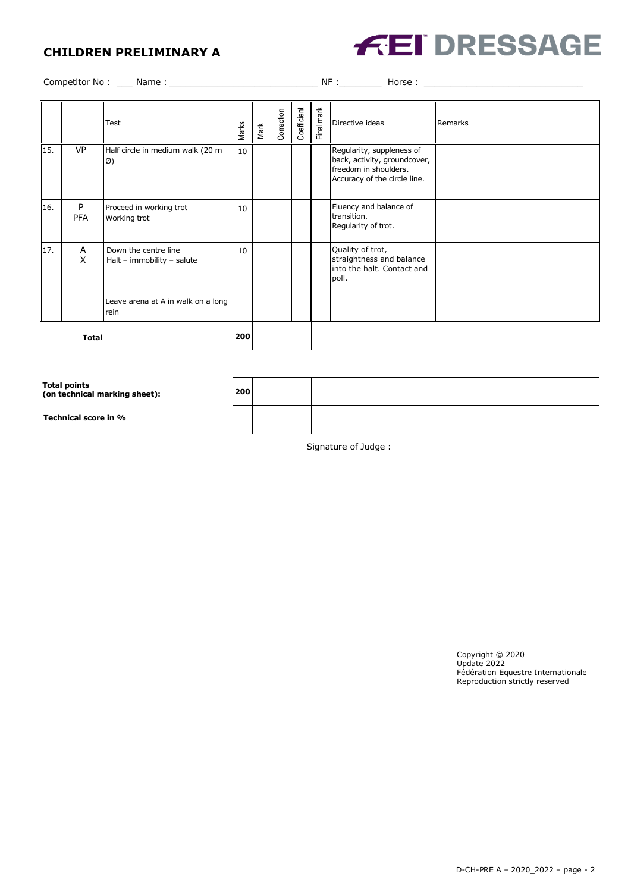## **CHILDREN PRELIMINARY A**



Competitor No : \_\_\_ Name : \_\_\_\_\_\_\_\_\_\_\_\_\_\_\_\_\_\_\_\_\_\_\_\_\_\_\_\_ NF :\_\_\_\_\_\_\_\_ Horse : \_\_\_\_\_\_\_\_\_\_\_\_\_\_\_\_\_\_\_\_\_\_\_\_\_\_\_\_\_\_

|              |                 | Test                                               | Marks | Mark | Correction | Coefficient | Final mark | Directive ideas                                                                                                    | Remarks |
|--------------|-----------------|----------------------------------------------------|-------|------|------------|-------------|------------|--------------------------------------------------------------------------------------------------------------------|---------|
| 15.          | <b>VP</b>       | Half circle in medium walk (20 m<br>Ø)             | 10    |      |            |             |            | Regularity, suppleness of<br>back, activity, groundcover,<br>freedom in shoulders.<br>Accuracy of the circle line. |         |
| 16.          | P<br><b>PFA</b> | Proceed in working trot<br>Working trot            | 10    |      |            |             |            | Fluency and balance of<br>transition.<br>Regularity of trot.                                                       |         |
| 17.          | A<br>X          | Down the centre line<br>Halt - immobility - salute | 10    |      |            |             |            | Quality of trot,<br>straightness and balance<br>into the halt. Contact and<br>poll.                                |         |
|              |                 | Leave arena at A in walk on a long<br>rein         |       |      |            |             |            |                                                                                                                    |         |
| <b>Total</b> |                 |                                                    | 200   |      |            |             |            |                                                                                                                    |         |

**Total points (on technical marking sheet): 200 Technical score in %** Signature of Judge :

> Copyright © 2020 Update 2022 Fédération Equestre Internationale Reproduction strictly reserved